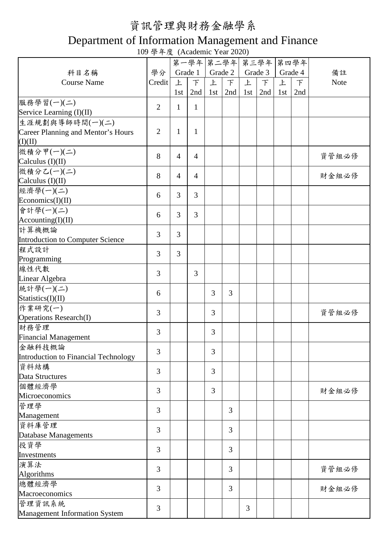## 資訊管理與財務金融學系

## Department of Information Management and Finance

109 學年度 (Academic Year 2020)

|                                           |                |                |                |     |         | 第一學年 第二學年 第三學年 第四學年 |         |     |         |             |
|-------------------------------------------|----------------|----------------|----------------|-----|---------|---------------------|---------|-----|---------|-------------|
| 科目名稱                                      | 學分             |                | Grade 1        |     | Grade 2 |                     | Grade 3 |     | Grade 4 | 備註          |
| <b>Course Name</b>                        | Credit         | 上              | $\top$         | 上   | $\top$  | 上                   | $\top$  | 上   | F       | <b>Note</b> |
|                                           |                | 1st            | 2nd            | 1st | 2nd     | 1st                 | 2nd     | 1st | 2nd     |             |
| 服務學習(一)(二)                                |                |                |                |     |         |                     |         |     |         |             |
| Service Learning (I)(II)                  | $\overline{2}$ | $\mathbf{1}$   | 1              |     |         |                     |         |     |         |             |
| 生涯規劃與導師時間(一)(二)                           |                |                |                |     |         |                     |         |     |         |             |
| <b>Career Planning and Mentor's Hours</b> | $\overline{2}$ | $\mathbf{1}$   | 1              |     |         |                     |         |     |         |             |
| (I)(II)                                   |                |                |                |     |         |                     |         |     |         |             |
| 微積分甲(一)(二)                                |                |                |                |     |         |                     |         |     |         |             |
| Calculus $(I)(II)$                        | 8              | $\overline{4}$ | $\overline{4}$ |     |         |                     |         |     |         | 資管組必修       |
| 微積分乙(一)(二)                                |                |                |                |     |         |                     |         |     |         |             |
| Calculus $(I)(II)$                        | 8              | $\overline{4}$ | $\overline{4}$ |     |         |                     |         |     |         | 財金組必修       |
| 經濟學(一)(二)                                 |                |                |                |     |         |                     |         |     |         |             |
| Economics(I)(II)                          | 6              | 3              | 3              |     |         |                     |         |     |         |             |
| 會計學(一)(二)                                 |                |                |                |     |         |                     |         |     |         |             |
| According(I)(II)                          | 6              | 3              | 3              |     |         |                     |         |     |         |             |
| 計算機概論                                     |                |                |                |     |         |                     |         |     |         |             |
| Introduction to Computer Science          | $\overline{3}$ | 3              |                |     |         |                     |         |     |         |             |
| 程式設計                                      |                |                |                |     |         |                     |         |     |         |             |
| Programming                               | $\overline{3}$ | 3              |                |     |         |                     |         |     |         |             |
| 線性代數                                      |                |                |                |     |         |                     |         |     |         |             |
| Linear Algebra                            | $\overline{3}$ |                | 3              |     |         |                     |         |     |         |             |
| 統計學(一)(二)                                 |                |                |                |     |         |                     |         |     |         |             |
| Statistics(I)(II)                         | 6              |                |                | 3   | 3       |                     |         |     |         |             |
| 作業研究(一)                                   |                |                |                |     |         |                     |         |     |         |             |
| <b>Operations Research(I)</b>             | $\overline{3}$ |                |                | 3   |         |                     |         |     |         | 資管組必修       |
| 財務管理                                      |                |                |                |     |         |                     |         |     |         |             |
| <b>Financial Management</b>               | 3              |                |                | 3   |         |                     |         |     |         |             |
| 金融科技概論                                    |                |                |                |     |         |                     |         |     |         |             |
| Introduction to Financial Technology      | 3              |                |                | 3   |         |                     |         |     |         |             |
| 資料結構                                      |                |                |                |     |         |                     |         |     |         |             |
| <b>Data Structures</b>                    | 3              |                |                | 3   |         |                     |         |     |         |             |
| 個體經濟學                                     |                |                |                |     |         |                     |         |     |         |             |
| Microeconomics                            | 3              |                |                | 3   |         |                     |         |     |         | 財金組必修       |
| 管理學                                       |                |                |                |     |         |                     |         |     |         |             |
| Management                                | 3              |                |                |     | 3       |                     |         |     |         |             |
| 資料庫管理                                     |                |                |                |     |         |                     |         |     |         |             |
| Database Managements                      | 3              |                |                |     | 3       |                     |         |     |         |             |
| 投資學                                       | $\overline{3}$ |                |                |     |         |                     |         |     |         |             |
| Investments                               |                |                |                |     | 3       |                     |         |     |         |             |
| 演算法                                       |                |                |                |     |         |                     |         |     |         |             |
| Algorithms                                | 3              |                |                |     | 3       |                     |         |     |         | 資管組必修       |
| 總體經濟學                                     |                |                |                |     |         |                     |         |     |         |             |
| Macroeconomics                            | 3              |                |                |     | 3       |                     |         |     |         | 財金組必修       |
| 管理資訊系統                                    | 3              |                |                |     |         | 3                   |         |     |         |             |
| <b>Management Information System</b>      |                |                |                |     |         |                     |         |     |         |             |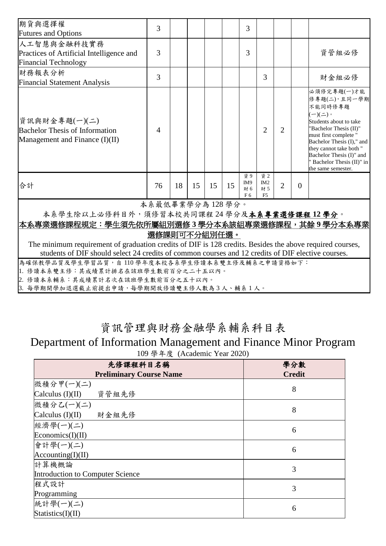| 期貨與選擇權<br><b>Futures and Options</b>                                                                                                                                                                           | 3               |    |    |    |    | 3                                  |                                     |                |          |                                                                                                                                                                                                                                                                                       |
|----------------------------------------------------------------------------------------------------------------------------------------------------------------------------------------------------------------|-----------------|----|----|----|----|------------------------------------|-------------------------------------|----------------|----------|---------------------------------------------------------------------------------------------------------------------------------------------------------------------------------------------------------------------------------------------------------------------------------------|
| 人工智慧與金融科技實務<br>Practices of Artificial Intelligence and<br><b>Financial Technology</b>                                                                                                                         | 3               |    |    |    |    | 3                                  |                                     |                |          | 資管組必修                                                                                                                                                                                                                                                                                 |
| 財務報表分析<br><b>Financial Statement Analysis</b>                                                                                                                                                                  | 3               |    |    |    |    |                                    | 3                                   |                |          | 財金組必修                                                                                                                                                                                                                                                                                 |
| 資訊與財金專題(一)(二)<br><b>Bachelor Thesis of Information</b><br>Management and Finance (I)(II)                                                                                                                       | 4               |    |    |    |    |                                    | $\overline{2}$                      | $\overline{2}$ |          | 必須修完專題(一)才能<br>修專題(二),且同一學期<br>不能同時修專題<br>$(-)(\rightharpoonup)$ .<br>Students about to take<br>'Bachelor Thesis (II)"<br>must first complete "<br>Bachelor Thesis (I)," and<br>they cannot take both "<br>Bachelor Thesis (I)" and<br>Bachelor Thesis (II)" in<br>the same semester. |
| 合計                                                                                                                                                                                                             | 76              | 18 | 15 | 15 | 15 | 資 9<br>IM9<br>財6<br>F <sub>6</sub> | 資 2<br>IM2<br>財 5<br>F <sub>5</sub> | $\overline{2}$ | $\Omega$ |                                                                                                                                                                                                                                                                                       |
|                                                                                                                                                                                                                | 本系最低畢業學分為128學分。 |    |    |    |    |                                    |                                     |                |          |                                                                                                                                                                                                                                                                                       |
| 本系學生除以上必修科目外,須修習本校共同課程24學分及本系專業選修課程12學分。                                                                                                                                                                       |                 |    |    |    |    |                                    |                                     |                |          |                                                                                                                                                                                                                                                                                       |
| 本系專業選修課程規定:學生須先依所屬組別選修3學分本系該組專業選修課程,其餘9學分本系專業                                                                                                                                                                  |                 |    |    |    |    |                                    |                                     |                |          |                                                                                                                                                                                                                                                                                       |
| 選修課則可不分組別任選。                                                                                                                                                                                                   |                 |    |    |    |    |                                    |                                     |                |          |                                                                                                                                                                                                                                                                                       |
| The minimum requirement of graduation credits of DIF is 128 credits. Besides the above required courses,<br>students of DIF should select 24 credits of common courses and 12 credits of DIF elective courses. |                 |    |    |    |    |                                    |                                     |                |          |                                                                                                                                                                                                                                                                                       |
| 為確保教學品質及學生學習品質,自110學年度本校各系學生修讀本系雙主修及輔系之申請資格如下:                                                                                                                                                                 |                 |    |    |    |    |                                    |                                     |                |          |                                                                                                                                                                                                                                                                                       |
| 1. 修讀本系雙主修:其成績累計排名在該班學生數前百分之二十五以內。<br>2. 修讀本系輔系:其成績累計名次在該班學生數前百分之五十以內。                                                                                                                                         |                 |    |    |    |    |                                    |                                     |                |          |                                                                                                                                                                                                                                                                                       |

3. 每學期開學加退選截止前提出申請,每學期開放修讀雙主修人數為 3 人、輔系 1 人。

## 資訊管理與財務金融學系輔系科目表

## Department of Information Management and Finance Minor Program

109 學年度 (Academic Year 2020)

| 先修課程科目名稱                         | 學分數           |
|----------------------------------|---------------|
| <b>Preliminary Course Name</b>   | <b>Credit</b> |
| 微積分甲(一)(二)                       | 8             |
| Calculus (I)(II) 資管組先修           |               |
| 微積分乙(一)(二)                       | 8             |
| Calculus (I)(II) 財金組先修           |               |
| 經濟學(一)(二)                        | 6             |
| Economics(I)(II)                 |               |
| 會計學(一)(二)                        | 6             |
| $ $ Accounting(I)(II)            |               |
| 計算機概論                            | 3             |
| Introduction to Computer Science |               |
| 程式設計                             | 3             |
| Programming                      |               |
| 統計學(一)(二)                        | 6             |
| Statistics(I)(II)                |               |